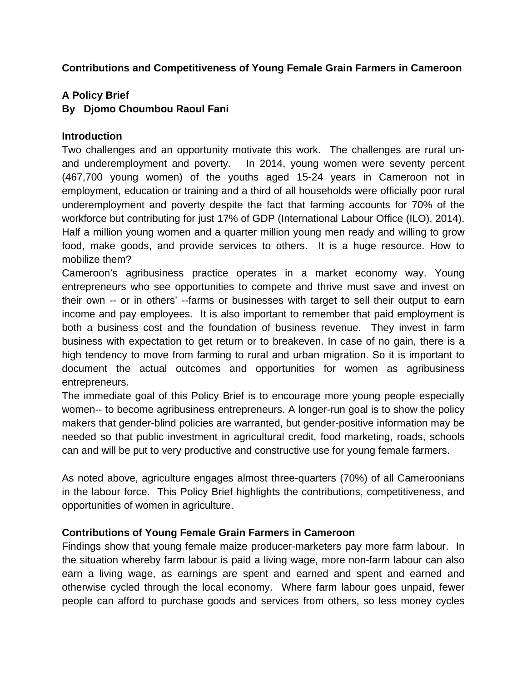# **Contributions and Competitiveness of Young Female Grain Farmers in Cameroon**

# **A Policy Brief**

# **By Djomo Choumbou Raoul Fani**

### **Introduction**

Two challenges and an opportunity motivate this work. The challenges are rural unand underemployment and poverty. In 2014, young women were seventy percent (467,700 young women) of the youths aged 15-24 years in Cameroon not in employment, education or training and a third of all households were officially poor rural underemployment and poverty despite the fact that farming accounts for 70% of the workforce but contributing for just 17% of GDP (International Labour Office (ILO), 2014). Half a million young women and a quarter million young men ready and willing to grow food, make goods, and provide services to others. It is a huge resource. How to mobilize them?

Cameroon's agribusiness practice operates in a market economy way. Young entrepreneurs who see opportunities to compete and thrive must save and invest on their own -- or in others' --farms or businesses with target to sell their output to earn income and pay employees. It is also important to remember that paid employment is both a business cost and the foundation of business revenue. They invest in farm business with expectation to get return or to breakeven. In case of no gain, there is a high tendency to move from farming to rural and urban migration. So it is important to document the actual outcomes and opportunities for women as agribusiness entrepreneurs.

The immediate goal of this Policy Brief is to encourage more young people especially women-- to become agribusiness entrepreneurs. A longer-run goal is to show the policy makers that gender-blind policies are warranted, but gender-positive information may be needed so that public investment in agricultural credit, food marketing, roads, schools can and will be put to very productive and constructive use for young female farmers.

As noted above, agriculture engages almost three-quarters (70%) of all Cameroonians in the labour force. This Policy Brief highlights the contributions, competitiveness, and opportunities of women in agriculture.

# **Contributions of Young Female Grain Farmers in Cameroon**

Findings show that young female maize producer-marketers pay more farm labour. In the situation whereby farm labour is paid a living wage, more non-farm labour can also earn a living wage, as earnings are spent and earned and spent and earned and otherwise cycled through the local economy. Where farm labour goes unpaid, fewer people can afford to purchase goods and services from others, so less money cycles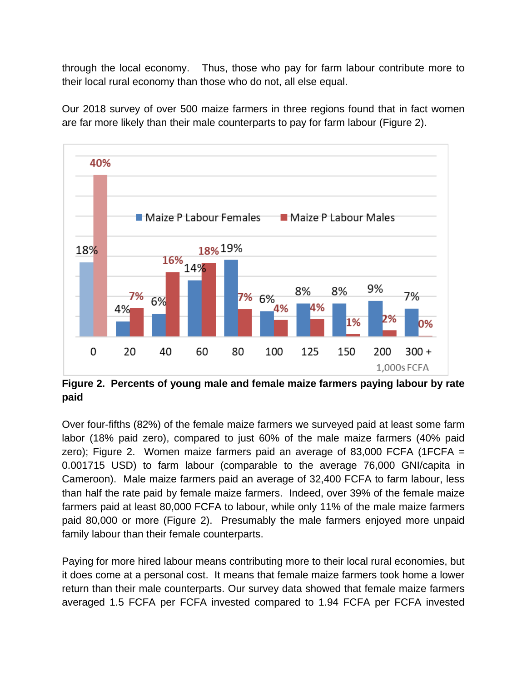through the local economy. Thus, those who pay for farm labour contribute more to their local rural economy than those who do not, all else equal.

Our 2018 survey of over 500 maize farmers in three regions found that in fact women are far more likely than their male counterparts to pay for farm labour (Figure 2).



**Figure 2. Percents of young male and female maize farmers paying labour by rate paid**

Over four-fifths (82%) of the female maize farmers we surveyed paid at least some farm labor (18% paid zero), compared to just 60% of the male maize farmers (40% paid zero); Figure 2. Women maize farmers paid an average of 83,000 FCFA (1FCFA  $=$ 0.001715 USD) to farm labour (comparable to the average 76,000 GNI/capita in Cameroon). Male maize farmers paid an average of 32,400 FCFA to farm labour, less than half the rate paid by female maize farmers. Indeed, over 39% of the female maize farmers paid at least 80,000 FCFA to labour, while only 11% of the male maize farmers paid 80,000 or more (Figure 2). Presumably the male farmers enjoyed more unpaid family labour than their female counterparts.

Paying for more hired labour means contributing more to their local rural economies, but it does come at a personal cost. It means that female maize farmers took home a lower return than their male counterparts. Our survey data showed that female maize farmers averaged 1.5 FCFA per FCFA invested compared to 1.94 FCFA per FCFA invested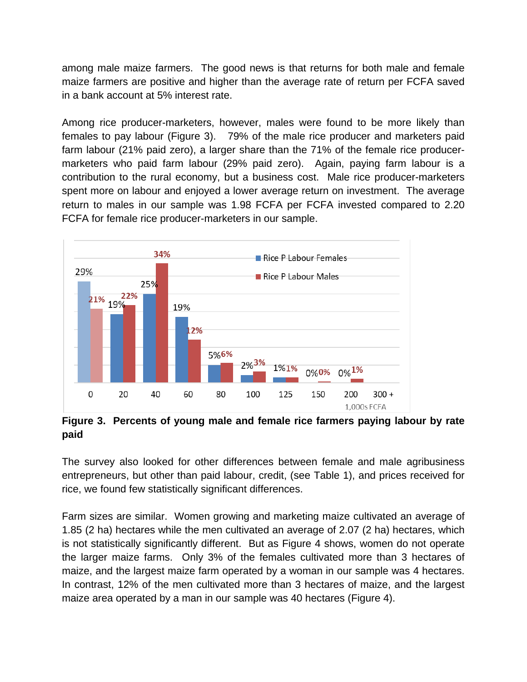among male maize farmers. The good news is that returns for both male and female maize farmers are positive and higher than the average rate of return per FCFA saved in a bank account at 5% interest rate.

Among rice producer-marketers, however, males were found to be more likely than females to pay labour (Figure 3). 79% of the male rice producer and marketers paid farm labour (21% paid zero), a larger share than the 71% of the female rice producermarketers who paid farm labour (29% paid zero). Again, paying farm labour is a contribution to the rural economy, but a business cost. Male rice producer-marketers spent more on labour and enjoyed a lower average return on investment. The average return to males in our sample was 1.98 FCFA per FCFA invested compared to 2.20 FCFA for female rice producer-marketers in our sample.



**Figure 3. Percents of young male and female rice farmers paying labour by rate paid**

The survey also looked for other differences between female and male agribusiness entrepreneurs, but other than paid labour, credit, (see Table 1), and prices received for rice, we found few statistically significant differences.

Farm sizes are similar. Women growing and marketing maize cultivated an average of 1.85 (2 ha) hectares while the men cultivated an average of 2.07 (2 ha) hectares, which is not statistically significantly different. But as Figure 4 shows, women do not operate the larger maize farms. Only 3% of the females cultivated more than 3 hectares of maize, and the largest maize farm operated by a woman in our sample was 4 hectares. In contrast, 12% of the men cultivated more than 3 hectares of maize, and the largest maize area operated by a man in our sample was 40 hectares (Figure 4).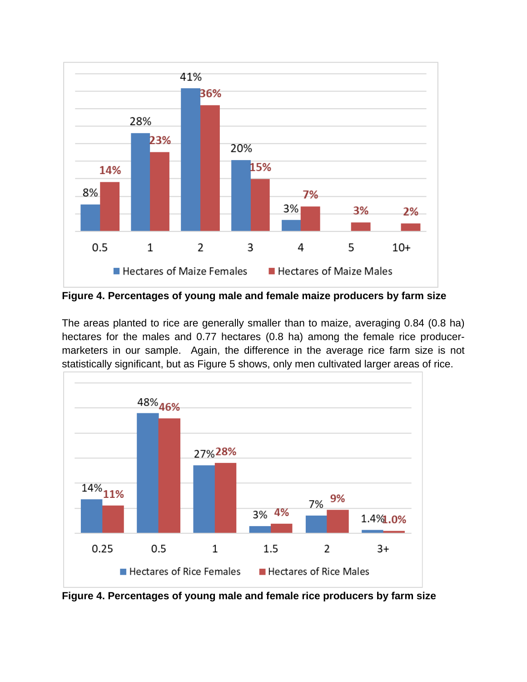

**Figure 4. Percentages of young male and female maize producers by farm size**

The areas planted to rice are generally smaller than to maize, averaging 0.84 (0.8 ha) hectares for the males and 0.77 hectares (0.8 ha) among the female rice producermarketers in our sample. Again, the difference in the average rice farm size is not statistically significant, but as Figure 5 shows, only men cultivated larger areas of rice.



**Figure 4. Percentages of young male and female rice producers by farm size**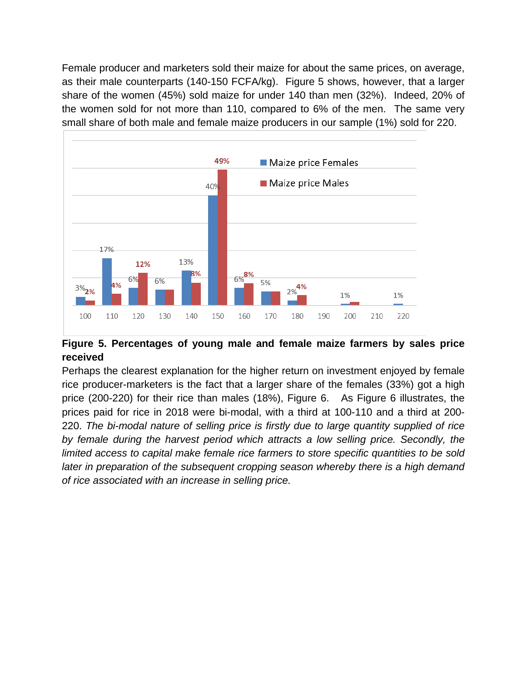Female producer and marketers sold their maize for about the same prices, on average, as their male counterparts (140-150 FCFA/kg). Figure 5 shows, however, that a larger share of the women (45%) sold maize for under 140 than men (32%). Indeed, 20% of the women sold for not more than 110, compared to 6% of the men. The same very small share of both male and female maize producers in our sample (1%) sold for 220.



# **Figure 5. Percentages of young male and female maize farmers by sales price received**

Perhaps the clearest explanation for the higher return on investment enjoyed by female rice producer-marketers is the fact that a larger share of the females (33%) got a high price (200-220) for their rice than males (18%), Figure 6. As Figure 6 illustrates, the prices paid for rice in 2018 were bi-modal, with a third at 100-110 and a third at 200- 220. *The bi-modal nature of selling price is firstly due to large quantity supplied of rice by female during the harvest period which attracts a low selling price. Secondly, the limited access to capital make female rice farmers to store specific quantities to be sold later in preparation of the subsequent cropping season whereby there is a high demand of rice associated with an increase in selling price.*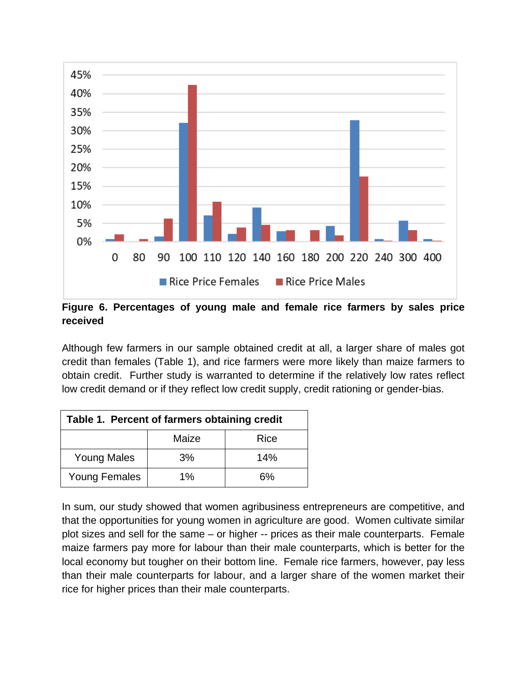

#### **Figure 6. Percentages of young male and female rice farmers by sales price received**

Although few farmers in our sample obtained credit at all, a larger share of males got credit than females (Table 1), and rice farmers were more likely than maize farmers to obtain credit. Further study is warranted to determine if the relatively low rates reflect low credit demand or if they reflect low credit supply, credit rationing or gender-bias.

| Table 1. Percent of farmers obtaining credit |       |      |
|----------------------------------------------|-------|------|
|                                              | Maize | Rice |
| <b>Young Males</b>                           | 3%    | 14%  |
| <b>Young Females</b>                         | $1\%$ | 6%   |

In sum, our study showed that women agribusiness entrepreneurs are competitive, and that the opportunities for young women in agriculture are good. Women cultivate similar plot sizes and sell for the same – or higher -- prices as their male counterparts. Female maize farmers pay more for labour than their male counterparts, which is better for the local economy but tougher on their bottom line. Female rice farmers, however, pay less than their male counterparts for labour, and a larger share of the women market their rice for higher prices than their male counterparts.